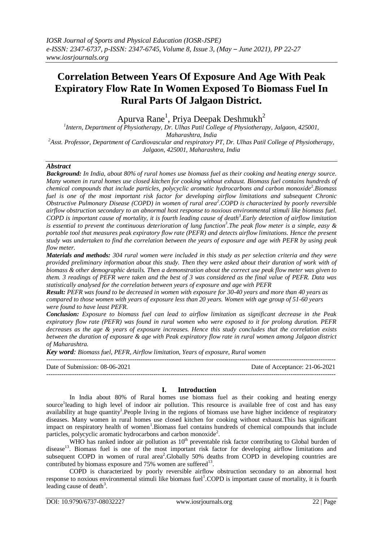# **Correlation Between Years Of Exposure And Age With Peak Expiratory Flow Rate In Women Exposed To Biomass Fuel In Rural Parts Of Jalgaon District.**

Apurva Rane<sup>1</sup>, Priya Deepak Deshmukh<sup>2</sup>

*1 Intern, Department of Physiotherapy, Dr. Ulhas Patil College of Physiotherapy, Jalgaon, 425001, Maharashtra, India <sup>2</sup>Asst. Professor, Department of Cardiovascular and respiratory PT, Dr. Ulhas Patil College of Physiotherapy, Jalgaon, 425001, Maharashtra, India*

# *Abstract*

*Background: In India, about 80% of rural homes use biomass fuel as their cooking and heating energy source. Many women in rural homes use closed kitchen for cooking without exhaust. Biomass fuel contains hundreds of chemical compounds that include particles, polycyclic aromatic hydrocarbons and carbon monoxide*<sup>2</sup>. Biomass *fuel is one of the most important risk factor for developing airflow limitations and subsequent Chronic Obstructive Pulmonary Disease (COPD) in women of rural area<sup>2</sup> .COPD is characterized by poorly reversible airflow obstruction secondary to an abnormal host response to noxious environmental stimuli like biomass fuel. COPD is important cause of mortality, it is fourth leading cause of death<sup>3</sup> .Early detection of airflow limitation is essential to prevent the continuous deterioration of lung function<sup>3</sup> .The peak flow meter is a simple, easy & portable tool that measures peak expiratory flow rate (PEFR) and detects airflow limitations. Hence the present study was undertaken to find the correlation between the years of exposure and age with PEFR by using peak flow meter.* 

*Materials and methods: 304 rural women were included in this study as per selection criteria and they were provided preliminary information about this study. Then they were asked about their duration of work with of biomass & other demographic details. Then a demonstration about the correct use peak flow meter was given to them. 3 readings of PEFR were taken and the best of 3 was considered as the final value of PEFR. Data was statistically analysed for the correlation between years of exposure and age with PEFR* 

*Result: PEFR was found to be decreased in women with exposure for 30-40 years and more than 40 years as compared to those women with years of exposure less than 20 years. Women with age group of 51-60 years were found to have least PEFR.*

*Conclusion: Exposure to biomass fuel can lead to airflow limitation as significant decrease in the Peak expiratory flow rate (PEFR) was found in rural women who were exposed to it for prolong duration. PEFR decreases as the age & years of exposure increases. Hence this study concludes that the correlation exists between the duration of exposure & age with Peak expiratory flow rate in rural women among Jalgaon district of Maharashtra.*

*Key word: Biomass fuel, PEFR, Airflow limitation, Years of exposure, Rural women*

--------------------------------------------------------------------------------------------------------------------------------------- Date of Submission: 08-06-2021 Date of Acceptance: 21-06-2021 ---------------------------------------------------------------------------------------------------------------------------------------

#### **I. Introduction**

In India about 80% of Rural homes use biomass fuel as their cooking and heating energy source<sup>1</sup>leading to high level of indoor air pollution. This resource is available free of cost and has easy availability at huge quantity<sup>1</sup>. People living in the regions of biomass use have higher incidence of respiratory diseases. Many women in rural homes use closed kitchen for cooking without exhaust.This has significant impact on respiratory health of women<sup>1</sup>.Biomass fuel contains hundreds of chemical compounds that include particles, polycyclic aromatic hydrocarbons and carbon monoxide<sup>2</sup>.

WHO has ranked indoor air pollution as  $10<sup>th</sup>$  preventable risk factor contributing to Global burden of disease<sup>13</sup>. Biomass fuel is one of the most important risk factor for developing airflow limitations and subsequent COPD in women of rural area<sup>2</sup>. Globally 50% deaths from COPD in developing countries are contributed by biomass exposure and  $75%$  women are suffered<sup>13</sup>.

COPD is characterized by poorly reversible airflow obstruction secondary to an abnormal host response to noxious environmental stimuli like biomass fuel<sup>1</sup>.COPD is important cause of mortality, it is fourth leading cause of death<sup>3</sup>.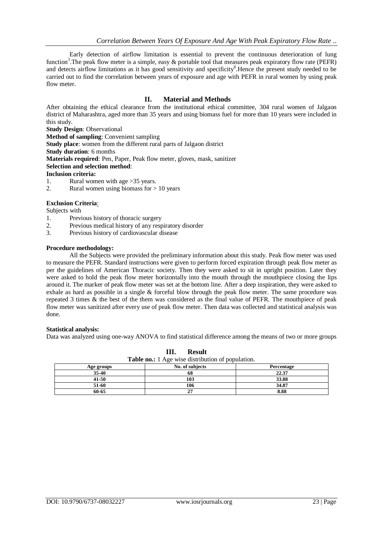Early detection of airflow limitation is essential to prevent the continuous deterioration of lung function<sup>3</sup>. The peak flow meter is a simple, easy  $\&$  portable tool that measures peak expiratory flow rate (PEFR) and detects airflow limitations as it has good sensitivity and specificity<sup>8</sup>. Hence the present study needed to be carried out to find the correlation between years of exposure and age with PEFR in rural women by using peak flow meter.

### **II. Material and Methods**

After obtaining the ethical clearance from the institutional ethical committee, 304 rural women of Jalgaon district of Maharashtra, aged more than 35 years and using biomass fuel for more than 10 years were included in this study.

**Study Design**: Observational

**Method of sampling**: Convenient sampling

**Study place**: women from the different rural parts of Jalgaon district

**Study duration**: 6 months

**Materials required**: Pen, Paper, Peak flow meter, gloves, mask, sanitizer

**Selection and selection method**:

**Inclusion criteria:**

- 1. Rural women with age >35 years.
- 2. Rural women using biomass for  $> 10$  years

# **Exclusion Criteria**:

# Subjects with

- 1. Previous history of thoracic surgery
- 2. Previous medical history of any respiratory disorder
- 3. Previous history of cardiovascular disease

#### **Procedure methodology:**

All the Subjects were provided the preliminary information about this study. Peak flow meter was used to measure the PEFR. Standard instructions were given to perform forced expiration through peak flow meter as per the guidelines of American Thoracic society. Then they were asked to sit in upright position. Later they were asked to hold the peak flow meter horizontally into the mouth through the mouthpiece closing the lips around it. The marker of peak flow meter was set at the bottom line. After a deep inspiration, they were asked to exhale as hard as possible in a single & forceful blow through the peak flow meter. The same procedure was repeated 3 times & the best of the them was considered as the final value of PEFR. The mouthpiece of peak flow meter was sanitized after every use of peak flow meter. Then data was collected and statistical analysis was done.

#### **Statistical analysis:**

Data was analyzed using one-way ANOVA to find statistical difference among the means of two or more groups

| <b>Table no.:</b> 1 Age wise distribution of population. |                 |            |  |
|----------------------------------------------------------|-----------------|------------|--|
| Age groups                                               | No. of subjects | Percentage |  |
| 35-40                                                    | 68              | 22.37      |  |
| 41-50                                                    | 103             | 33.88      |  |
| 51-60                                                    | 106             | 34.87      |  |
| 60-65                                                    |                 | 8.88       |  |

**III. Result**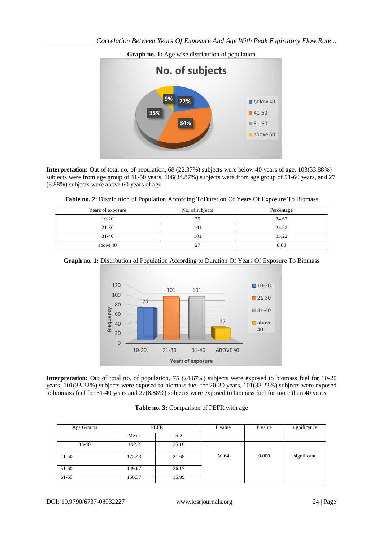

**Interpretation:** Out of total no. of population, 68 (22.37%) subjects were below 40 years of age, 103(33.88%) subjects were from age group of 41-50 years, 106(34.87%) subjects were from age group of 51-60 years, and 27 (8.88%) subjects were above 60 years of age.

| Table no. 2: Distribution of Population According ToDuration Of Years Of Exposure To Biomass |  |
|----------------------------------------------------------------------------------------------|--|
|----------------------------------------------------------------------------------------------|--|

| Years of exposure | No. of subjects | Percentage |
|-------------------|-----------------|------------|
| $10-20$           | 75              | 24.67      |
| $21 - 30$         | 101             | 33.22      |
| $31-40$           | 101             | 33.22      |
| above 40          | 27              | 8.88       |

# **Graph no. 1:** Distribution of Population According to Duration Of Years Of Exposure To Biomass



**Interpretation:** Out of total no. of population, 75 (24.67%) subjects were exposed to biomass fuel for 10-20 years, 101(33.22%) subjects were exposed to biomass fuel for 20-30 years, 101(33.22%) subjects were exposed to biomass fuel for 31-40 years and 27(8.88%) subjects were exposed to biomass fuel for more than 40 years

|  | Table no. 3: Comparison of PEFR with age |
|--|------------------------------------------|
|--|------------------------------------------|

| Age Groups | PEFR   |       | F value | P value | significance |
|------------|--------|-------|---------|---------|--------------|
|            | Mean   | SD    |         |         |              |
| $35-40$    | 192.2  | 25.16 |         |         |              |
| $41-50$    | 172.43 | 21.68 | 50.64   | 0.000   | significant  |
| 51-60      | 149.67 | 26.17 |         |         |              |
| 61-65      | 150.37 | 15.99 |         |         |              |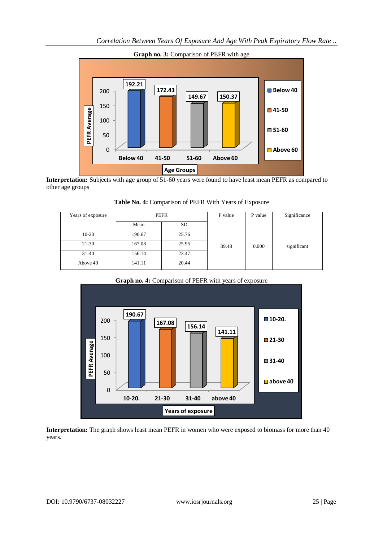

**Interpretation:** Subjects with age group of 51-60 years were found to have least mean PEFR as compared to other age groups

| Years of exposure | PEFR   |           | F value | P value | Significance |
|-------------------|--------|-----------|---------|---------|--------------|
|                   | Mean   | <b>SD</b> |         |         |              |
| $10-20$           | 190.67 | 25.76     |         |         |              |
| $21 - 30$         | 167.08 | 25.95     | 39.48   | 0.000   | significant  |
| $31-40$           | 156.14 | 23.47     |         |         |              |
| Above 40          | 141.11 | 20.44     |         |         |              |

**Table No. 4:** Comparison of PEFR With Years of Exposure





**Interpretation:** The graph shows least mean PEFR in women who were exposed to biomass for more than 40 years.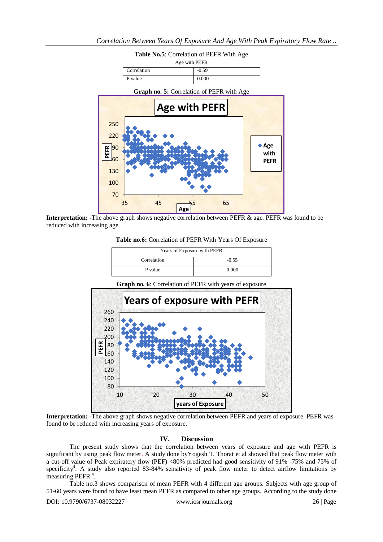| Table No.5: Correlation of PEFR With Age |         |  |
|------------------------------------------|---------|--|
| Age with PEFR                            |         |  |
| Correlation                              | $-0.59$ |  |
| P value                                  | 0.000   |  |



**Interpretation:** -The above graph shows negative correlation between PEFR & age. PEFR was found to be reduced with increasing age.

**Table no.6:** Correlation of PEFR With Years Of Exposure

| Years of Exposure with PEFR |         |  |
|-----------------------------|---------|--|
| Correlation                 | $-0.55$ |  |
| P value                     | 0.000   |  |

**Graph no. 6**: Correlation of PEFR with years of exposure



**Interpretation: -**The above graph shows negative correlation between PEFR and years of exposure. PEFR was found to be reduced with increasing years of exposure.

#### **IV. Discussion**

The present study shows that the correlation between years of exposure and age with PEFR is significant by using peak flow meter. A study done byYogesh T. Thorat et al showed that peak flow meter with a cut-off value of Peak expiratory flow (PEF) <80% predicted had good sensitivity of 91% -75% and 75% of specificity<sup>4</sup>. A study also reported 83-84% sensitivity of peak flow meter to detect airflow limitations by measuring PEFR<sup>4</sup>.

Table no.3 shows comparison of mean PEFR with 4 different age groups. Subjects with age group of 51-60 years were found to have least mean PEFR as compared to other age groups. According to the study done